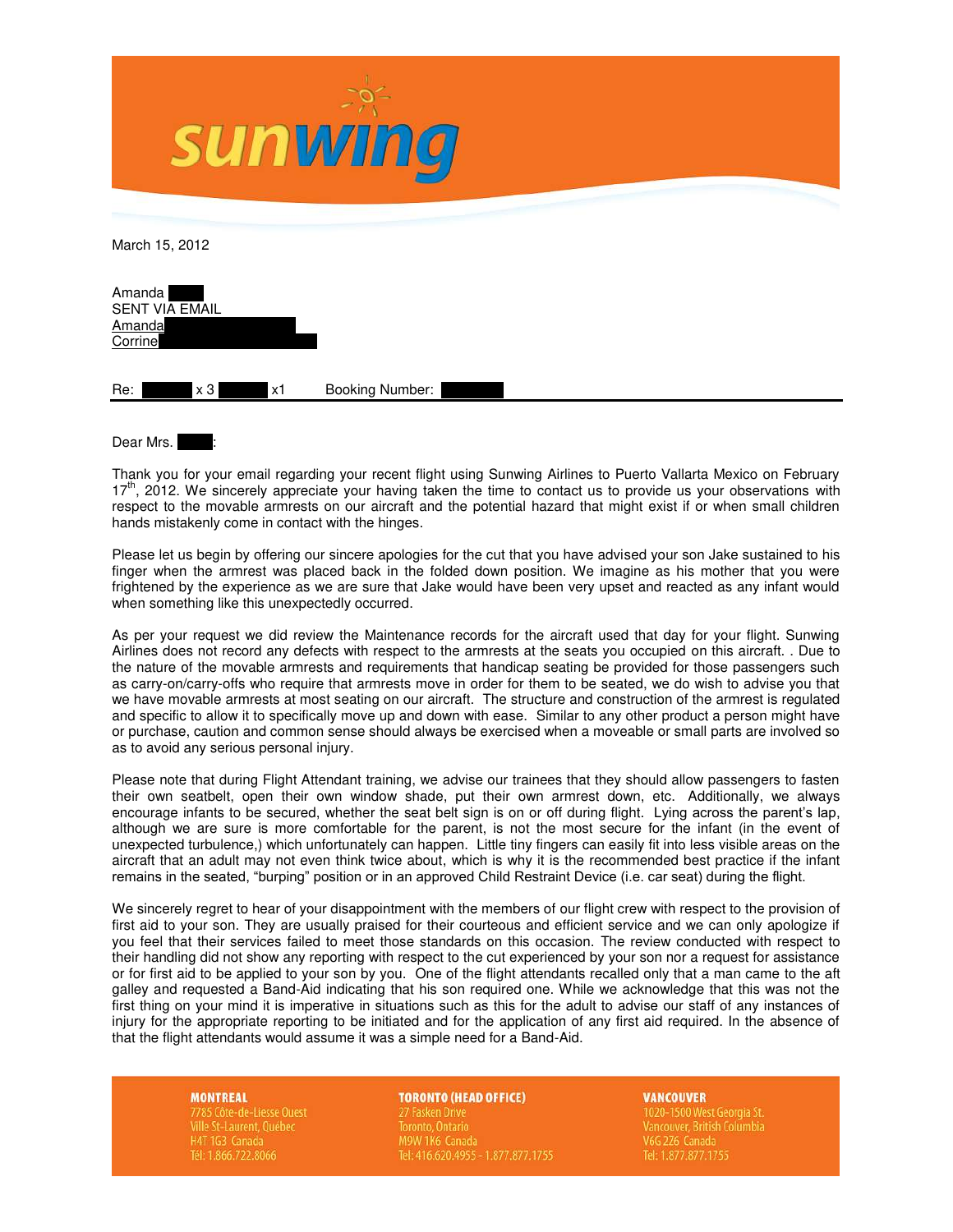

| Dear Mrs. |  |  |
|-----------|--|--|
|           |  |  |

Thank you for your email regarding your recent flight using Sunwing Airlines to Puerto Vallarta Mexico on February  $17<sup>th</sup>$ , 2012. We sincerely appreciate your having taken the time to contact us to provide us your observations with respect to the movable armrests on our aircraft and the potential hazard that might exist if or when small children hands mistakenly come in contact with the hinges.

Please let us begin by offering our sincere apologies for the cut that you have advised your son Jake sustained to his finger when the armrest was placed back in the folded down position. We imagine as his mother that you were frightened by the experience as we are sure that Jake would have been very upset and reacted as any infant would when something like this unexpectedly occurred.

As per your request we did review the Maintenance records for the aircraft used that day for your flight. Sunwing Airlines does not record any defects with respect to the armrests at the seats you occupied on this aircraft. . Due to the nature of the movable armrests and requirements that handicap seating be provided for those passengers such as carry-on/carry-offs who require that armrests move in order for them to be seated, we do wish to advise you that we have movable armrests at most seating on our aircraft. The structure and construction of the armrest is regulated and specific to allow it to specifically move up and down with ease. Similar to any other product a person might have or purchase, caution and common sense should always be exercised when a moveable or small parts are involved so as to avoid any serious personal injury.

Please note that during Flight Attendant training, we advise our trainees that they should allow passengers to fasten their own seatbelt, open their own window shade, put their own armrest down, etc. Additionally, we always encourage infants to be secured, whether the seat belt sign is on or off during flight. Lying across the parent's lap, although we are sure is more comfortable for the parent, is not the most secure for the infant (in the event of unexpected turbulence,) which unfortunately can happen. Little tiny fingers can easily fit into less visible areas on the aircraft that an adult may not even think twice about, which is why it is the recommended best practice if the infant remains in the seated, "burping" position or in an approved Child Restraint Device (i.e. car seat) during the flight.

We sincerely regret to hear of your disappointment with the members of our flight crew with respect to the provision of first aid to your son. They are usually praised for their courteous and efficient service and we can only apologize if you feel that their services failed to meet those standards on this occasion. The review conducted with respect to their handling did not show any reporting with respect to the cut experienced by your son nor a request for assistance or for first aid to be applied to your son by you. One of the flight attendants recalled only that a man came to the aft galley and requested a Band-Aid indicating that his son required one. While we acknowledge that this was not the first thing on your mind it is imperative in situations such as this for the adult to advise our staff of any instances of injury for the appropriate reporting to be initiated and for the application of any first aid required. In the absence of that the flight attendants would assume it was a simple need for a Band-Aid.

**MONTREAL** 

**Ville St-Laurent, Québec** H4T 1G3 Canada Tél: 1.866.722.8066

### **TORONTO (HEAD OFFICE)**

Toronto, Ontario M9W 1K6 Canada Tel: 416.620.4955 - 1.877.877.1755

# **VANCOUVER**

V6G 2Z6 Canada Tel: 1.877.877.1755